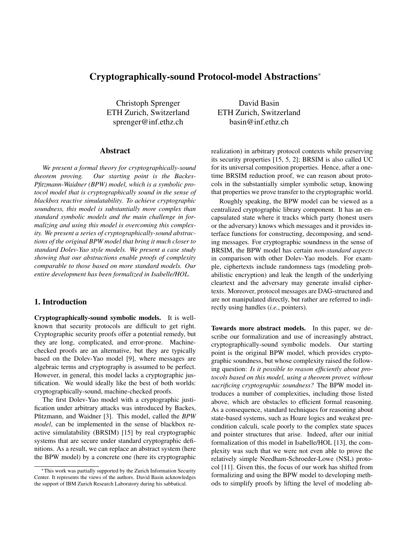# Cryptographically-sound Protocol-model Abstractions<sup>∗</sup>

Christoph Sprenger ETH Zurich, Switzerland sprenger@inf.ethz.ch

### Abstract

*We present a formal theory for cryptographically-sound theorem proving. Our starting point is the Backes-Pfitzmann-Waidner (BPW) model, which is a symbolic protocol model that is cryptographically sound in the sense of blackbox reactive simulatability. To achieve cryptographic soundness, this model is substantially more complex than standard symbolic models and the main challenge in formalizing and using this model is overcoming this complexity. We present a series of cryptographically-sound abstractions of the original BPW model that bring it much closer to standard Dolev-Yao style models. We present a case study showing that our abstractions enable proofs of complexity comparable to those based on more standard models. Our entire development has been formalized in Isabelle/HOL.*

# 1. Introduction

Cryptographically-sound symbolic models. It is wellknown that security protocols are difficult to get right. Cryptographic security proofs offer a potential remedy, but they are long, complicated, and error-prone. Machinechecked proofs are an alternative, but they are typically based on the Dolev-Yao model [9], where messages are algebraic terms and cryptography is assumed to be perfect. However, in general, this model lacks a cryptographic justification. We would ideally like the best of both worlds: cryptographically-sound, machine-checked proofs.

The first Dolev-Yao model with a cryptographic justification under arbitrary attacks was introduced by Backes, Pfitzmann, and Waidner [3]. This model, called the *BPW model*, can be implemented in the sense of blackbox reactive simulatability (BRSIM) [15] by real cryptographic systems that are secure under standard cryptographic definitions. As a result, we can replace an abstract system (here the BPW model) by a concrete one (here its cryptographic

David Basin ETH Zurich, Switzerland basin@inf.ethz.ch

realization) in arbitrary protocol contexts while preserving its security properties [15, 5, 2]; BRSIM is also called UC for its universal composition properties. Hence, after a onetime BRSIM reduction proof, we can reason about protocols in the substantially simpler symbolic setup, knowing that properties we prove transfer to the cryptographic world.

Roughly speaking, the BPW model can be viewed as a centralized cryptographic library component. It has an encapsulated state where it tracks which party (honest users or the adversary) knows which messages and it provides interface functions for constructing, decomposing, and sending messages. For cryptographic soundness in the sense of BRSIM, the BPW model has certain *non-standard aspects* in comparison with other Dolev-Yao models. For example, ciphertexts include randomness tags (modeling probabilistic encryption) and leak the length of the underlying cleartext and the adversary may generate invalid ciphertexts. Moreover, protocol messages are DAG-structured and are not manipulated directly, but rather are referred to indirectly using handles (*i.e.*, pointers).

Towards more abstract models. In this paper, we describe our formalization and use of increasingly abstract, cryptographically-sound symbolic models. Our starting point is the original BPW model, which provides cryptographic soundness, but whose complexity raised the following question: *Is it possible to reason efficiently about protocols based on this model, using a theorem prover, without sacrificing cryptographic soundness?* The BPW model introduces a number of complexities, including those listed above, which are obstacles to efficient formal reasoning. As a consequence, standard techniques for reasoning about state-based systems, such as Hoare logics and weakest precondition calculi, scale poorly to the complex state spaces and pointer structures that arise. Indeed, after our initial formalization of this model in Isabelle/HOL [13], the complexity was such that we were not even able to prove the relatively simple Needham-Schroeder-Lowe (NSL) protocol [11]. Given this, the focus of our work has shifted from formalizing and using the BPW model to developing methods to simplify proofs by lifting the level of modeling ab-

<sup>∗</sup>This work was partially supported by the Zurich Information Security Center. It represents the views of the authors. David Basin acknowledges the support of IBM Zurich Research Laboratory during his sabbatical.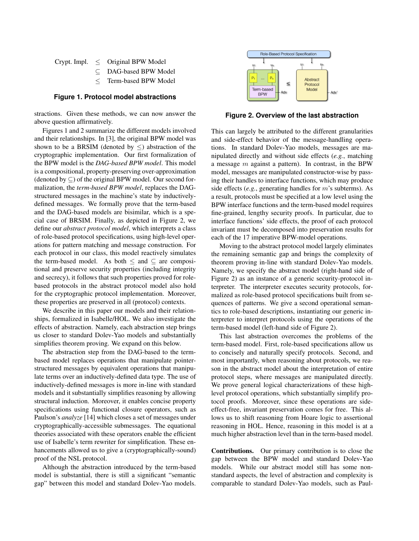| Crypt. Impl. |  | $\leq$ Original BPW Model |
|--------------|--|---------------------------|
|--------------|--|---------------------------|

⊆ DAG-based BPW Model

≤ Term-based BPW Model

## **Figure 1. Protocol model abstractions**

stractions. Given these methods, we can now answer the above question affirmatively.

Figures 1 and 2 summarize the different models involved and their relationships. In [3], the original BPW model was shown to be a BRSIM (denoted by  $\leq$ ) abstraction of the cryptographic implementation. Our first formalization of the BPW model is the *DAG-based BPW model*. This model is a compositional, property-preserving over-approximation (denoted by  $\subseteq$ ) of the original BPW model. Our second formalization, the *term-based BPW model*, replaces the DAGstructured messages in the machine's state by inductivelydefined messages. We formally prove that the term-based and the DAG-based models are bisimilar, which is a special case of BRSIM. Finally, as depicted in Figure 2, we define our *abstract protocol model*, which interprets a class of role-based protocol specifications, using high-level operations for pattern matching and message construction. For each protocol in our class, this model reactively simulates the term-based model. As both  $\leq$  and  $\subseteq$  are compositional and preserve security properties (including integrity and secrecy), it follows that such properties proved for rolebased protocols in the abstract protocol model also hold for the cryptographic protocol implementation. Moreover, these properties are preserved in all (protocol) contexts.

We describe in this paper our models and their relationships, formalized in Isabelle/HOL. We also investigate the effects of abstraction. Namely, each abstraction step brings us closer to standard Dolev-Yao models and substantially simplifies theorem proving. We expand on this below.

The abstraction step from the DAG-based to the termbased model replaces operations that manipulate pointerstructured messages by equivalent operations that manipulate terms over an inductively-defined data type. The use of inductively-defined messages is more in-line with standard models and it substantially simplifies reasoning by allowing structural induction. Moreover, it enables concise property specifications using functional closure operators, such as Paulson's *analyze* [14] which closes a set of messages under cryptographically-accessible submessages. The equational theories associated with these operators enable the efficient use of Isabelle's term rewriter for simplification. These enhancements allowed us to give a (cryptographically-sound) proof of the NSL protocol.

Although the abstraction introduced by the term-based model is substantial, there is still a significant "semantic gap" between this model and standard Dolev-Yao models.



**Figure 2. Overview of the last abstraction**

This can largely be attributed to the different granularities and side-effect behavior of the message-handling operations. In standard Dolev-Yao models, messages are manipulated directly and without side effects (*e.g.*, matching a message  $m$  against a pattern). In contrast, in the BPW model, messages are manipulated constructor-wise by passing their handles to interface functions, which may produce side effects (*e.g.*, generating handles for m's subterms). As a result, protocols must be specified at a low level using the BPW interface functions and the term-based model requires fine-grained, lengthy security proofs. In particular, due to interface functions' side effects, the proof of each protocol invariant must be decomposed into preservation results for each of the 17 imperative BPW-model operations.

Moving to the abstract protocol model largely eliminates the remaining semantic gap and brings the complexity of theorem proving in-line with standard Dolev-Yao models. Namely, we specify the abstract model (right-hand side of Figure 2) as an instance of a generic security-protocol interpreter. The interpreter executes security protocols, formalized as role-based protocol specifications built from sequences of patterns. We give a second operational semantics to role-based descriptions, instantiating our generic interpreter to interpret protocols using the operations of the term-based model (left-hand side of Figure 2).

This last abstraction overcomes the problems of the term-based model. First, role-based specifications allow us to concisely and naturally specify protocols. Second, and most importantly, when reasoning about protocols, we reason in the abstract model about the interpretation of entire protocol steps, where messages are manipulated directly. We prove general logical characterizations of these highlevel protocol operations, which substantially simplify protocol proofs. Moreover, since these operations are sideeffect-free, invariant preservation comes for free. This allows us to shift reasoning from Hoare logic to assertional reasoning in HOL. Hence, reasoning in this model is at a much higher abstraction level than in the term-based model.

Contributions. Our primary contribution is to close the gap between the BPW model and standard Dolev-Yao models. While our abstract model still has some nonstandard aspects, the level of abstraction and complexity is comparable to standard Dolev-Yao models, such as Paul-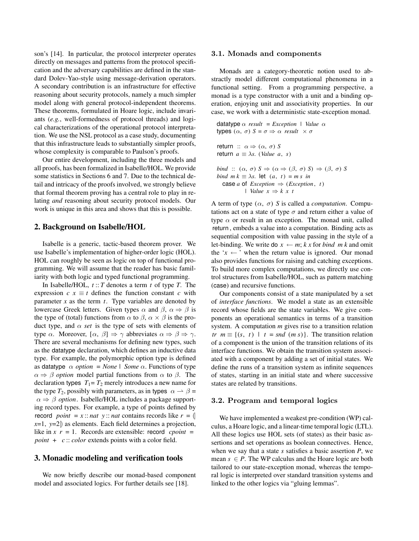son's [14]. In particular, the protocol interpreter operates directly on messages and patterns from the protocol specification and the adversary capabilities are defined in the standard Dolev-Yao-style using message-derivation operators. A secondary contribution is an infrastructure for effective reasoning about security protocols, namely a much simpler model along with general protocol-independent theorems. These theorems, formulated in Hoare logic, include invariants (*e.g.*, well-formedness of protocol threads) and logical characterizations of the operational protocol interpretation. We use the NSL protocol as a case study, documenting that this infrastructure leads to substantially simpler proofs, whose complexity is comparable to Paulson's proofs.

Our entire development, including the three models and all proofs, has been formalized in Isabelle/HOL. We provide some statistics in Sections 6 and 7. Due to the technical detail and intricacy of the proofs involved, we strongly believe that formal theorem proving has a central role to play in relating *and* reasoning about security protocol models. Our work is unique in this area and shows that this is possible.

## 2. Background on Isabelle/HOL

Isabelle is a generic, tactic-based theorem prover. We use Isabelle's implementation of higher-order logic (HOL). HOL can roughly be seen as logic on top of functional programming. We will assume that the reader has basic familiarity with both logic and typed functional programming.

In Isabelle/HOL, *t* :: *T* denotes a term *t* of type *T*. The expression  $c \times \equiv t$  defines the function constant  $c$  with parameter  $x$  as the term  $t$ . Type variables are denoted by lowercase Greek letters. Given types  $\alpha$  and  $\beta$ ,  $\alpha \Rightarrow \beta$  is the type of (total) functions from  $\alpha$  to  $\beta$ ,  $\alpha \times \beta$  is the product type, and  $\alpha$  *set* is the type of sets with elements of type  $\alpha$ . Moreover,  $[\alpha, \beta] \Rightarrow \gamma$  abbreviates  $\alpha \Rightarrow \beta \Rightarrow \gamma$ . There are several mechanisms for defining new types, such as the datatype declaration, which defines an inductive data type. For example, the polymorphic option type is defined as datatype  $\alpha$  *option* = *None* | *Some*  $\alpha$ . Functions of type  $\alpha \Rightarrow \beta$  *option* model partial functions from  $\alpha$  to  $\beta$ . The declaration types  $T_1 = T_2$  merely introduces a new name for the type  $T_2$ , possibly with parameters, as in types  $\alpha \rightarrow \beta$  =  $\alpha \Rightarrow \beta$  *option*. Isabelle/HOL includes a package supporting record types. For example, a type of points defined by record *point* =  $x$  :: *nat*  $y$  :: *nat* contains records like  $r = \emptyset$  $x=1$ ,  $y=2$  as elements. Each field determines a projection, like in  $x \rvert r = 1$ . Records are extensible: record *cpoint* = *point* + *c* :: *color* extends points with a color field.

# 3. Monadic modeling and verification tools

We now briefly describe our monad-based component model and associated logics. For further details see [18].

#### 3.1. Monads and components

Monads are a category-theoretic notion used to abstractly model different computational phenomena in a functional setting. From a programming perspective, a monad is a type constructor with a unit and a binding operation, enjoying unit and associativity properties. In our case, we work with a deterministic state-exception monad.

```
datatype \alpha result = Exception | Value \alphatypes (α, σ) S = σ ⇒ α result × σ
return :: \alpha \Rightarrow (\alpha, \sigma) S
return a \equiv \lambda s. (Value a, s)
bind :: (\alpha, \sigma) S \Rightarrow (\alpha \Rightarrow (\beta, \sigma) S) \Rightarrow (\beta, \sigma) Sbind m k \equiv \lambda s. let (a, t) = ms in
   case a of Exception \Rightarrow (Exception, t)
               | Value x ⇒ k x t
```
A term of type  $(\alpha, \sigma)$  *S* is called a *computation*. Computations act on a state of type  $\sigma$  and return either a value of type  $\alpha$  or result in an exception. The monad unit, called return , embeds a value into a computation. Binding acts as sequential composition with value passing in the style of a let-binding. We write do  $x \leftarrow m$ ;  $k x$  for *bind*  $m k$  and omit the ' $x \leftarrow$  ' when the return value is ignored. Our monad also provides functions for raising and catching exceptions. To build more complex computations, we directly use control structures from Isabelle/HOL, such as pattern matching (case) and recursive functions.

Our components consist of a state manipulated by a set of *interface functions*. We model a state as an extensible record whose fields are the state variables. We give components an operational semantics in terms of a transition system. A computation *m* gives rise to a transition relation *tr*  $m \equiv \{(s, t) \mid t = \text{snd}(m s)\}.$  The transition relation of a component is the union of the transition relations of its interface functions. We obtain the transition system associated with a component by adding a set of initial states. We define the runs of a transition system as infinite sequences of states, starting in an initial state and where successive states are related by transitions.

### 3.2. Program and temporal logics

We have implemented a weakest pre-condition (WP) calculus, a Hoare logic, and a linear-time temporal logic (LTL). All these logics use HOL sets (of states) as their basic assertions and set operations as boolean connectives. Hence, when we say that a state *s* satisfies a basic assertion *P*, we mean  $s \in P$ . The WP calculus and the Hoare logic are both tailored to our state-exception monad, whereas the temporal logic is interpreted over standard transition systems and linked to the other logics via "gluing lemmas".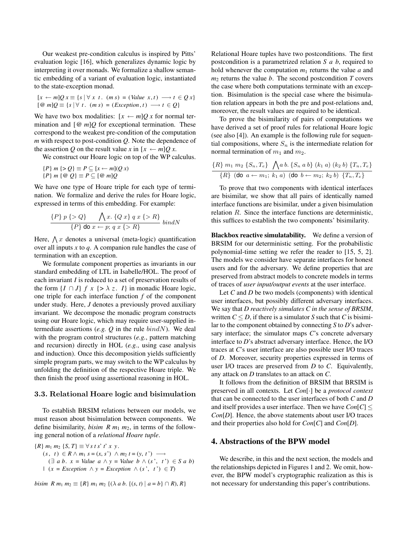Our weakest pre-condition calculus is inspired by Pitts' evaluation logic [16], which generalizes dynamic logic by interpreting it over monads. We formalize a shallow semantic embedding of a variant of evaluation logic, instantiated to the state-exception monad.

$$
[x \leftarrow m]Q x \equiv \{s \mid \forall x \ t. \ (m s) = (Value \ x, t) \longrightarrow t \in Q x \}
$$

$$
[@ m]Q \equiv \{s \mid \forall t. \ (m s) = (Exception, t) \longrightarrow t \in Q \}
$$

We have two box modalities:  $[x \leftarrow m]Qx$  for normal termination and [*@ m*]*Q* for exceptional termination. These correspond to the weakest pre-condition of the computation *m* with respect to post-condition *Q*. Note the dependence of the assertion *Q* on the result value *x* in  $[x \leftarrow m]Qx$ .

We construct our Hoare logic on top of the WP calculus.

$$
{P} \ m \{ > Q \} \equiv P \subseteq [x \leftarrow m](Q \ x)
$$

$$
{P} \ m \{ \emptyset \ Q \} \equiv P \subseteq [\emptyset \ m]Q
$$

We have one type of Hoare triple for each type of termination. We formalize and derive the rules for Hoare logic, expressed in terms of this embedding. For example:

$$
\frac{\{P\} \ p \{Q\}}{\{P\} \ \text{do } x \leftarrow p; \ q \ x \{Q\ R\}} \ \text{bindN}
$$

Here,  $\bigwedge x$  denotes a universal (meta-logic) quantification over all inputs *x* to *q*. A companion rule handles the case of termination with an exception.

We formulate component properties as invariants in our standard embedding of LTL in Isabelle/HOL. The proof of each invariant *I* is reduced to a set of preservation results of the form  $\{I \cap J\}$  *f*  $x \{>\lambda z \}$ . *I*} in monadic Hoare logic, one triple for each interface function *f* of the component under study. Here, *J* denotes a previously proved auxiliary invariant. We decompose the monadic program constructs using our Hoare logic, which may require user-supplied intermediate assertions (*e.g.*  $Q$  in the rule  $bindN$ ). We deal with the program control structures (*e.g.*, pattern matching and recursion) directly in HOL (*e.g.*, using case analysis and induction). Once this decomposition yields sufficiently simple program parts, we may switch to the WP calculus by unfolding the definition of the respective Hoare triple. We then finish the proof using assertional reasoning in HOL.

#### 3.3. Relational Hoare logic and bisimulation

To establish BRSIM relations between our models, we must reason about bisimulation between components. We define bisimilarity, *bisim R m*<sub>1</sub>  $m_2$ , in terms of the following general notion of a *relational Hoare tuple*.

$$
\{R\} \ m_1 \ m_2 \ \{S, T\} \equiv \forall \ s \ t \ s' \ t' \ x \ y.
$$
\n
$$
(s, t) \in R \land m_1 \ s = (x, s') \land m_2 \ t = (y, t') \longrightarrow
$$
\n
$$
(\exists \ a \ b. \ x = Value \ a \land y = Value \ b \land (s', t') \ \in S \ a \ b)
$$
\n
$$
(\ x = Exception \land y = Exception \land (s', t') \ \in T)
$$

*bisim*  $R m_1 m_2 \equiv \{R\} m_1 m_2 \{(\lambda a b. \{(s, t) | a = b\} \cap R), R\}$ 

Relational Hoare tuples have two postconditions. The first postcondition is a parametrized relation *S a b*, required to hold whenever the computation  $m_1$  returns the value *a* and  $m_2$  returns the value *b*. The second postcondition *T* covers the case where both computations terminate with an exception. Bisimulation is the special case where the bisimulation relation appears in both the pre and post-relations and, moreover, the result values are required to be identical.

To prove the bisimilarity of pairs of computations we have derived a set of proof rules for relational Hoare logic (see also [4]). An example is the following rule for sequential compositions, where  $S_n$  is the intermediate relation for normal termination of  $m_1$  and  $m_2$ .

$$
\frac{\{R\} \ m_1 \ m_2 \ \{S_n, T_e\} \ \bigwedge \{a \ b \ \{S_n \ a \ b\} \ (k_1 \ a) \ (k_2 \ b) \ \{T_n, T_e\}}{\{R\} \ (\text{do } a \leftarrow m_1; k_1 \ a) \ (\text{do } b \leftarrow m_2; k_2 \ b) \ \{T_n, T_e\}}
$$

To prove that two components with identical interfaces are bisimilar, we show that all pairs of identically named interface functions are bisimilar, under a given bisimulation relation R. Since the interface functions are deterministic, this suffices to establish the two components' bisimilarity.

Blackbox reactive simulatability. We define a version of BRSIM for our deterministic setting. For the probabilistic polynomial-time setting we refer the reader to [15, 5, 2]. The models we consider have separate interfaces for honest users and for the adversary. We define properties that are preserved from abstract models to concrete models in terms of traces of *user input/output events* at the user interface.

Let *C* and *D* be two models (components) with identical user interfaces, but possibly different adversary interfaces. We say that *D reactively simulates C in the sense of BRSIM*, written  $C \leq D$ , if there is a simulator *S* such that *C* is bisimilar to the component obtained by connecting *S* to *D*'s adversary interface; the simulator maps *C*'s concrete adversary interface to *D*'s abstract adversary interface. Hence, the I/O traces at *C*'s user interface are also possible user I/O traces of *D*. Moreover, security properties expressed in terms of user I/O traces are preserved from *D* to *C*. Equivalently, any attack on *D* translates to an attack on *C*.

It follows from the definition of BRSIM that BRSIM is preserved in all contexts. Let *Con*[·] be a *protocol context* that can be connected to the user interfaces of both *C* and *D* and itself provides a user interface. Then we have  $Con[C] \leq$ *Con*[*D*]. Hence, the above statements about user I/O traces and their properties also hold for *Con*[*C*] and *Con*[*D*].

## 4. Abstractions of the BPW model

We describe, in this and the next section, the models and the relationships depicted in Figures 1 and 2. We omit, however, the BPW model's cryptographic realization as this is not necessary for understanding this paper's contributions.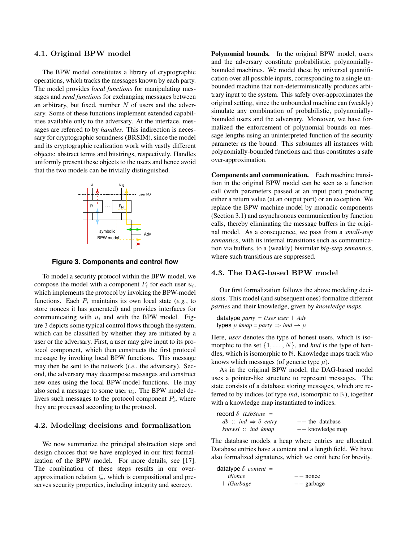#### 4.1. Original BPW model

The BPW model constitutes a library of cryptographic operations, which tracks the messages known by each party. The model provides *local functions* for manipulating messages and *send functions* for exchanging messages between an arbitrary, but fixed, number  $N$  of users and the adversary. Some of these functions implement extended capabilities available only to the adversary. At the interface, messages are referred to by *handles*. This indirection is necessary for cryptographic soundness (BRSIM), since the model and its cryptographic realization work with vastly different objects: abstract terms and bitstrings, respectively. Handles uniformly present these objects to the users and hence avoid that the two models can be trivially distinguished.



**Figure 3. Components and control flow**

To model a security protocol within the BPW model, we compose the model with a component  $P_i$  for each user  $u_i$ , which implements the protocol by invoking the BPW-model functions. Each  $P_i$  maintains its own local state (*e.g.*, to store nonces it has generated) and provides interfaces for communicating with  $u_i$  and with the BPW model. Figure 3 depicts some typical control flows through the system, which can be classified by whether they are initiated by a user or the adversary. First, a user may give input to its protocol component, which then constructs the first protocol message by invoking local BPW functions. This message may then be sent to the network (*i.e.*, the adversary). Second, the adversary may decompose messages and construct new ones using the local BPW-model functions. He may also send a message to some user  $u_i$ . The BPW model delivers such messages to the protocol component  $P_i$ , where they are processed according to the protocol.

#### 4.2. Modeling decisions and formalization

We now summarize the principal abstraction steps and design choices that we have employed in our first formalization of the BPW model. For more details, see [17]. The combination of these steps results in our overapproximation relation ⊆, which is compositional and preserves security properties, including integrity and secrecy.

Polynomial bounds. In the original BPW model, users and the adversary constitute probabilistic, polynomiallybounded machines. We model these by universal quantification over all possible inputs, corresponding to a single unbounded machine that non-deterministically produces arbitrary input to the system. This safely over-approximates the original setting, since the unbounded machine can (weakly) simulate any combination of probabilistic, polynomiallybounded users and the adversary. Moreover, we have formalized the enforcement of polynomial bounds on message lengths using an uninterpreted function of the security parameter as the bound. This subsumes all instances with polynomially-bounded functions and thus constitutes a safe over-approximation.

Components and communication. Each machine transition in the original BPW model can be seen as a function call (with parameters passed at an input port) producing either a return value (at an output port) or an exception. We replace the BPW machine model by monadic components (Section 3.1) and asynchronous communication by function calls, thereby eliminating the message buffers in the original model. As a consequence, we pass from a *small-step semantics*, with its internal transitions such as communication via buffers, to a (weakly) bisimilar *big-step semantics*, where such transitions are suppressed.

# 4.3. The DAG-based BPW model

Our first formalization follows the above modeling decisions. This model (and subsequent ones) formalize different *parties* and their knowledge, given by *knowledge maps*.

datatype *party* = *User user* | *Adv* types  $\mu$  *kmap* = *party*  $\Rightarrow$  *hnd*  $\rightarrow \mu$ 

Here, *user* denotes the type of honest users, which is isomorphic to the set  $\{1, \ldots, N\}$ , and *hnd* is the type of handles, which is isomorphic to N. Knowledge maps track who knows which messages (of generic type  $\mu$ ).

As in the original BPW model, the DAG-based model uses a pointer-like structure to represent messages. The state consists of a database storing messages, which are referred to by indices (of type *ind*, isomorphic to N), together with a knowledge map instantiated to indices.

| record $\delta$ <i>iLibState</i> =     |                   |
|----------------------------------------|-------------------|
| db :: ind $\Rightarrow$ $\delta$ entry | $--$ the database |
| knowsI :: ind kmap                     | -- knowledge map  |

The database models a heap where entries are allocated. Database entries have a content and a length field. We have also formalized signatures, which we omit here for brevity.

datatype  $\delta$  *content* = *iNonce* −− nonce | *iGarbage* −− garbage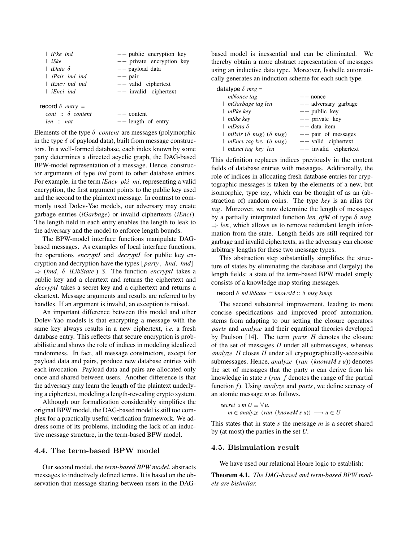| $\perp$ iPke ind         | $--$ public encryption key  |
|--------------------------|-----------------------------|
| $\mid$ iSke              | $--$ private encryption key |
| l <i>iData</i> $\delta$  | $--$ payload data           |
| l <i>iPair ind ind</i>   | $--$ pair                   |
| $\perp$ iEncy ind ind    | $--$ valid ciphertext       |
| $\perp$ iEnci ind        | $--$ invalid ciphertext     |
| record $\delta$ entry =  |                             |
| $cont :: \delta$ content | $--$ content                |
| len :: nat               | $--$ length of entry        |

Elements of the type  $\delta$  *content* are messages (polymorphic in the type  $\delta$  of payload data), built from message constructors. In a well-formed database, each index known by some party determines a directed acyclic graph, the DAG-based BPW-model representation of a message. Hence, constructor arguments of type *ind* point to other database entries. For example, in the term *iEncv pki mi*, representing a valid encryption, the first argument points to the public key used and the second to the plaintext message. In contrast to commonly used Dolev-Yao models, our adversary may create garbage entries (*iGarbage*) or invalid ciphertexts (*iEnci*). The length field in each entry enables the length to leak to the adversary and the model to enforce length bounds.

The BPW-model interface functions manipulate DAGbased messages. As examples of local interface functions, the operations *encryptI* and *decryptI* for public key encryption and decryption have the types [ *party* , *hnd*, *hnd*] ⇒ (*hnd*, δ *iLibState* ) *S*. The function *encryptI* takes a public key and a cleartext and returns the ciphertext and *decryptI* takes a secret key and a ciphertext and returns a cleartext. Message arguments and results are referred to by handles. If an argument is invalid, an exception is raised.

An important difference between this model and other Dolev-Yao models is that encrypting a message with the same key always results in a new ciphertext, *i.e.* a fresh database entry. This reflects that secure encryption is probabilistic and shows the role of indices in modeling idealized randomness. In fact, all message constructors, except for payload data and pairs, produce new database entries with each invocation. Payload data and pairs are allocated only once and shared between users. Another difference is that the adversary may learn the length of the plaintext underlying a ciphertext, modeling a length-revealing crypto system.

Although our formalization considerably simplifies the original BPW model, the DAG-based model is still too complex for a practically useful verification framework. We address some of its problems, including the lack of an inductive message structure, in the term-based BPW model.

# 4.4. The term-based BPW model

Our second model, the *term-based BPW model*, abstracts messages to inductively defined terms. It is based on the observation that message sharing between users in the DAG- based model is inessential and can be eliminated. We thereby obtain a more abstract representation of messages using an inductive data type. Moreover, Isabelle automatically generates an induction scheme for each such type.

| datatype $\delta$ msg =              |                         |
|--------------------------------------|-------------------------|
| mNonce tag                           | $-$ nonce               |
| mGarbage tag len                     | — adversary garbage     |
| $\mid mPke \; kev$                   | $--$ public key         |
| $\mid mSke$ key                      | $--$ private key        |
| $\ln \text{Data} \delta$             | $--$ data item          |
| $\mid mPair(\delta msg)(\delta msg)$ | $--$ pair of messages   |
| $\mid$ mEncv tag key ( $\delta$ msg) | $--$ valid ciphertext   |
| mEnci tag key len                    | $--$ invalid ciphertext |

This definition replaces indices previously in the content fields of database entries with messages. Additionally, the role of indices in allocating fresh database entries for cryptographic messages is taken by the elements of a new, but isomorphic, type *tag*, which can be thought of as an (abstraction of) random coins. The type *key* is an alias for *tag*. Moreover, we now determine the length of messages by a partially interpreted function *len\_ofM* of type δ *msg*  $\Rightarrow$  *len*, which allows us to remove redundant length information from the state. Length fields are still required for garbage and invalid ciphertexts, as the adversary can choose arbitrary lengths for these two message types.

This abstraction step substantially simplifies the structure of states by eliminating the database and (largely) the length fields: a state of the term-based BPW model simply consists of a knowledge map storing messages.

### record δ *mLibState* = *knowsM* :: δ *msg kmap*

The second substantial improvement, leading to more concise specifications and improved proof automation, stems from adapting to our setting the closure operators *parts* and *analyze* and their equational theories developed by Paulson [14]. The term *parts H* denotes the closure of the set of messages *H* under all submessages, whereas *analyze H* closes *H* under all cryptographically-accessible submessages. Hence, *analyze* (*ran* (*knowsM s u*)) denotes the set of messages that the party *u* can derive from his knowledge in state *s* (*ran f* denotes the range of the partial function *f*). Using *analyze* and *parts*, we define secrecy of an atomic message *m* as follows.

```
secret s m U \equiv \forall u.
   m \in \text{analyze} (ran (knowsM s u)) \longrightarrow u \in U
```
This states that in state *s* the message *m* is a secret shared by (at most) the parties in the set *U*.

### 4.5. Bisimulation result

We have used our relational Hoare logic to establish:

Theorem 4.1. *The DAG-based and term-based BPW models are bisimilar.*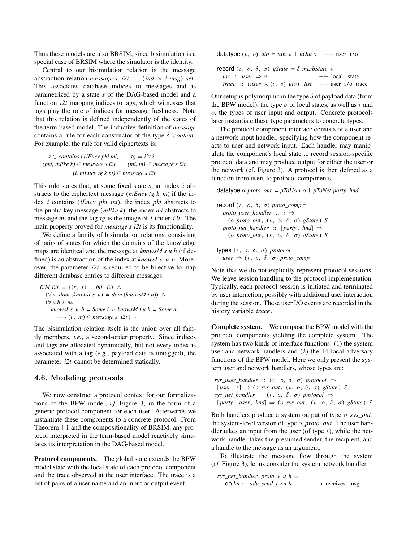Thus these models are also BRSIM, since bisimulation is a special case of BRSIM where the simulator is the identity.

Central to our bisimulation relation is the message abstraction relation *message s i2t* :: (*ind*  $\times$   $\delta$  *msg*) *set*. This associates database indices to messages and is parametrized by a state *s* of the DAG-based model and a function *i2t* mapping indices to tags, which witnesses that tags play the role of indices for message freshness. Note that this relation is defined independently of the states of the term-based model. The inductive definition of *message* contains a rule for each constructor of the type  $\delta$  *content*. For example, the rule for valid ciphertexts is:

 $s \in$  *contains i (iEncv pki mi)*  $tg = i2t i$ *(pki, mPke k)* ∈ *message s i2t (mi, m)* ∈ *message s i2t (i, mEncv tg k m)* ∈ *message s i2t*

This rule states that, at some fixed state *s*, an index *i* abstracts to the ciphertext message (*mEncv tg k m*) if the index *i* contains (*iEncv pki mi*), the index *pki* abstracts to the public key message (*mPke k*), the index *mi* abstracts to message *m*, and the tag *tg* is the image of *i* under *i2t* . The main property proved for *message s i2t* is its functionality.

We define a family of bisimulation relations, consisting of pairs of states for which the domains of the knowledge maps are identical and the message at *knowsM s u h* (if defined) is an abstraction of the index at *knowsI s u h*. Moreover, the parameter  $i2t$  is required to be bijective to map different database entries to different messages.

```
I2M i2t \equiv \{(s, t) | bit \, i2t \, \wedge(\forall u. \text{ dom}(knownI s u) = \text{dom}(knownM t u)) \wedge(∀ u h i m.
     knowsI s u h = Some i \land knowsM t u h = Some m
        \longrightarrow (i, m) \in message s i2t) }
```
The bisimulation relation itself is the union over all family members, *i.e.*, a second-order property. Since indices and tags are allocated dynamically, but not every index is associated with a tag (*e.g.*, payload data is untagged), the parameter *i2t* cannot be determined statically.

#### 4.6. Modeling protocols

We now construct a protocol context for our formalizations of the BPW model, *cf.* Figure 3, in the form of a generic protocol component for each user. Afterwards we instantiate these components to a concrete protocol. From Theorem 4.1 and the compositionality of BRSIM, any protocol interpreted in the term-based model reactively simulates its interpretation in the DAG-based model.

Protocol components. The global state extends the BPW model state with the local state of each protocol component and the trace observed at the user interface. The trace is a list of pairs of a user name and an input or output event.

datatype  $(\iota, o)$  *uio* = *uIn*  $\iota$  |  $uOut o$  −− user i/o

| record $(\iota, o, \delta, \sigma)$ gState = $\delta$ mLibState +                                          |                  |  |
|------------------------------------------------------------------------------------------------------------|------------------|--|
| $loc :: user \Rightarrow \sigma$                                                                           | $--$ local state |  |
| <i>trace</i> :: ( <i>user</i> $\times$ ( <i>i</i> , <i>o</i> ) <i>uio</i> ) <i>list</i> $-$ user i/o trace |                  |  |

Our setup is polymorphic in the type  $\delta$  of payload data (from the BPW model), the type  $\sigma$  of local states, as well as  $\iota$  and o, the types of user input and output. Concrete protocols later instantiate these type parameters to concrete types.

The protocol component interface consists of a user and a network input handler, specifying how the component reacts to user and network input. Each handler may manipulate the component's local state to record session-specific protocol data and may produce output for either the user or the network (cf. Figure 3). A protocol is then defined as a function from users to protocol components.

datatype o *proto\_out* = *pToUser* o | *pToNet party hnd*

record (*ι*, *ο*, *δ*, *σ*) *proto\_comp* = *proto\_user\_handler ::*  $\iota \Rightarrow$ (o *proto\_out*,  $(\iota, o, \delta, \sigma)$  *gState*) *S proto\_net\_handler* :: [ *party* , *hnd*] ⇒ (o *proto\_out*,  $(\iota, o, \delta, \sigma)$  *gState*) *S* 

types ( $ι$ ,  $o$ ,  $\delta$ ,  $σ$ ) *protocol* =  $user \Rightarrow (\iota, o, \delta, \sigma) \text{ proto\_comp}$ 

Note that we do not explicitly represent protocol sessions. We leave session handling to the protocol implementation. Typically, each protocol session is initiated and terminated by user interaction, possibly with additional user interaction during the session. These user I/O events are recorded in the history variable *trace*.

Complete system. We compose the BPW model with the protocol components yielding the complete system. The system has two kinds of interface functions: (1) the system user and network handlers and (2) the 14 local adversary functions of the BPW model. Here we only present the system user and network handlers, whose types are:

 $sys\_user\_handler :: (t, o, \delta, \sigma)$  *protocol*  $\Rightarrow$  $[user, \t_l] \Rightarrow (o \text{ sys\_out}, (t, o, \delta, \sigma) \text{ gState})$  *S*  $sys\_net\_handler :: (t, o, \delta, \sigma)$  *protocol*  $\Rightarrow$ [*party*, *user*, *hnd*]  $\Rightarrow$  (*o sys\_out*, (*i*, *o*,  $\delta$ ,  $\sigma$ ) *gState*) *S* 

Both handlers produce a system output of type o *sys\_out*, the system-level version of type o *proto\_out*. The user handler takes an input from the user (of type  $\iota$ ), while the network handler takes the presumed sender, the recipient, and a handle to the message as an argument.

To illustrate the message flow through the system (*cf.* Figure 3), let us consider the system network handler.

| sys_net_handler proto v u $h \equiv$                 |  |                    |  |
|------------------------------------------------------|--|--------------------|--|
| $\text{do } hu \leftarrow adv \text{ send } iv u h;$ |  | $-$ u receives msg |  |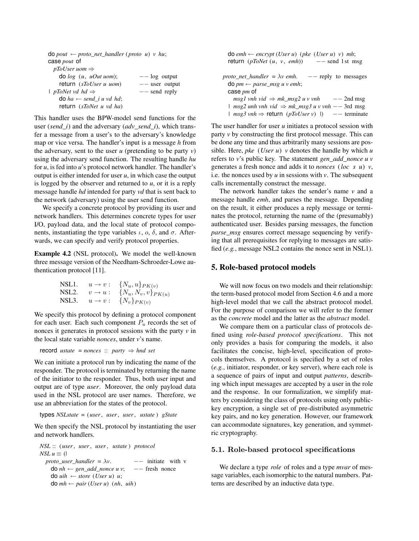```
\text{d}o pout \leftarrow proto net handler (proto u) v hu;
case pout of
  pToUser uom ⇒
     do log (u, uOut uom); −− log output
     return (sToUser u uom) −− user output
| pToNet vd hd ⇒ −− send reply
     \mathsf{do}\ \mathit{ha} \leftarrow \mathit{send}\ \mathit{i}\ \mathit{u}\ \mathit{vd}\ \mathit{hd};return (sToNet u vd ha)
```
This handler uses the BPW-model send functions for the user (*send\_i*) and the adversary (*adv\_send\_i*), which transfer a message from a user's to the adversary's knowledge map or vice versa. The handler's input is a message *h* from the adversary, sent to the user  $u$  (pretending to be party  $v$ ) using the adversary send function. The resulting handle *hu* for *u*, is fed into *u*'s protocol network handler. The handler's output is either intended for user  $u$ , in which case the output is logged by the observer and returned to *u*, or it is a reply message handle *hd* intended for party *vd* that is sent back to the network (adversary) using the user send function.

We specify a concrete protocol by providing its user and network handlers. This determines concrete types for user I/O, payload data, and the local state of protocol components, instantiating the type variables  $\iota$ ,  $o$ ,  $\delta$ , and  $\sigma$ . Afterwards, we can specify and verify protocol properties.

Example 4.2 (NSL protocol). We model the well-known three message version of the Needham-Schroeder-Lowe authentication protocol [11].

NSL1. 
$$
u \to v
$$
:  $\{N_u, u\}_{PK(v)}$   
NSL2.  $v \to u$ :  $\{N_u, N_v, v\}_{PK(u)}$   
NSL3.  $u \to v$ :  $\{N_v\}_{PK(v)}$ 

We specify this protocol by defining a protocol component for each user. Each such component  $P_u$  records the set of nonces it generates in protocol sessions with the party *v* in the local state variable *nonces*, under *v*'s name.

record *ustate* = *nonces* :: *party*  $\Rightarrow$  *hnd set* 

We can initiate a protocol run by indicating the name of the responder. The protocol is terminated by returning the name of the initiator to the responder. Thus, both user input and output are of type *user*. Moreover, the only payload data used in the NSL protocol are user names. Therefore, we use an abbreviation for the states of the protocol.

types *NSLstate* = (*user*, *user*, *user*, *ustate* ) *gState*

We then specify the NSL protocol by instantiating the user and network handlers.

```
NSL :: (user, user, user, ustate ) protocol
NSL u \equiv (|
  proto_user_handler = \lambda v. –– initiate with v
    do nh ← gen_add_nonce u v; −− fresh nonce
    do uih \leftarrow store (User u) u;
    \text{do } mh \leftarrow pair(User\ u) \ (nh, \ uih)
```
 $\mathsf{d} \mathsf{o} \mathsf{.}$  *emh*  $\leftarrow$  *encrypt* (*User u*) (*pke* (*User u*) *v*) *mh*; return  $(pToNet(u, v, emb))$  – send 1st msg *proto\_net\_handler* =  $\lambda v$  *emh.* −− reply to messages do  $pm \leftarrow parse\_msg$  *u v emh*; case *pm* of  $msg1$  *vnh vid*  $\Rightarrow$  *mk\_msg2 u v vnh*  $--$  2nd msg | *msg2 unh vnh vid* ⇒ *mk\_msg3 u v vnh* −− 3rd msg | *msg3 vnh* ⇒ return (*pToUser v*) |) −− terminate

The user handler for user *u* initiates a protocol session with party *v* by constructing the first protocol message. This can be done any time and thus arbitrarily many sessions are possible. Here, *pke* (*User u*) *v* denotes the handle by which *u* refers to *v*'s public key. The statement *gen\_add\_nonce u v* generates a fresh nonce and adds it to *nonces* (*loc s u*) *v*, i.e. the nonces used by *u* in sessions with *v*. The subsequent calls incrementally construct the message.

The network handler takes the sender's name *v* and a message handle *emh*, and parses the message. Depending on the result, it either produces a reply message or terminates the protocol, returning the name of the (presumably) authenticated user. Besides parsing messages, the function *parse\_msg* ensures correct message sequencing by verifying that all prerequisites for replying to messages are satisfied (*e.g.*, message NSL2 contains the nonce sent in NSL1).

# 5. Role-based protocol models

We will now focus on two models and their relationship: the term-based protocol model from Section 4.6 and a more high-level model that we call the abstract protocol model. For the purpose of comparison we will refer to the former as the *concrete* model and the latter as the *abstract* model.

We compare them on a particular class of protocols defined using *role-based protocol specifications*. This not only provides a basis for comparing the models, it also facilitates the concise, high-level, specification of protocols themselves. A protocol is specified by a set of roles (*e.g.*, initiator, responder, or key server), where each role is a sequence of pairs of input and output *patterns*, describing which input messages are accepted by a user in the role and the response. In our formalization, we simplify matters by considering the class of protocols using only publickey encryption, a single set of pre-distributed asymmetric key pairs, and no key generation. However, our framework can accommodate signatures, key generation, and symmetric cryptography.

## 5.1. Role-based protocol specifications

We declare a type *role* of roles and a type *mvar* of message variables, each isomorphic to the natural numbers. Patterns are described by an inductive data type.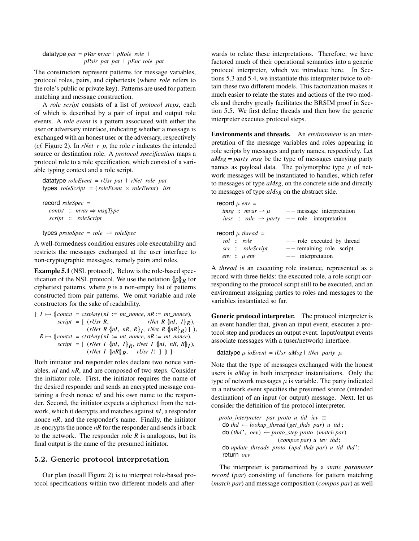datatype *pat* = *pVar mvar* | *pRole role* | *pPair pat pat* | *pEnc role pat*

The constructors represent patterns for message variables, protocol roles, pairs, and ciphertexts (where *role* refers to the role's public or private key). Patterns are used for pattern matching and message construction.

A *role script* consists of a list of *protocol steps*, each of which is described by a pair of input and output role events. A *role event* is a pattern associated with either the user or adversary interface, indicating whether a message is exchanged with an honest user or the adversary, respectively (*cf.* Figure 2). In *rNet r p*, the role *r* indicates the intended source or destination role. A *protocol specification* maps a protocol role to a role specification, which consist of a variable typing context and a role script.

datatype *roleEvent* = *rUsr pat* | *rNet role pat* types *roleScript* = (*roleEvent* × *roleEvent*) *list*

```
record roleSpec =
  contxt :: mvar ⇒ msgType
  script :: roleScript
```
 $types$  *protoSpec* = *role*  $\rightarrow$  *roleSpec* 

A well-formedness condition ensures role executability and restricts the messages exchanged at the user interface to non-cryptographic messages, namely pairs and roles.

Example 5.1 (NSL protocol). Below is the role-based specification of the NSL protocol. We use the notation  $\{p\}_R$  for ciphertext patterns, where  $p$  is a non-empty list of patterns constructed from pair patterns. We omit variable and role constructors for the sake of readability.

 $[I \rightarrow \emptyset]$  *contxt* = *ctxtAny* ( $nI := mt\_nonce$ ,  $nR := mt\_nonce$ ), *script* =  $[ (rUsr R, rNet R \{nI, I\}_R),$  $(rNet \ R \ \{nI, \ nR, \ R\}$ *I*,  $rNet \ R \ \{nR\}$  $_R)$  ]  $\}$ ,  $R \mapsto$  (| *contxt* = *ctxtAny* ( $nI := mt\_nonce, nR := mt\_nonce$ ),  $script \in$  [ (*rNet I* {|*nI*, *I*} $_R$ , *rNet I* {|*nI*, *nR*,  $R$ } $_I$  $),$  $(rNet \, I \, \{nR\}_R, \, rUsr \, I) \, ] \, ]$ 

Both initiator and responder roles declare two nonce variables, *nI* and *nR*, and are composed of two steps. Consider the initiator role. First, the initiator requires the name of the desired responder and sends an encrypted message containing a fresh nonce *nI* and his own name to the responder. Second, the initiator expects a ciphertext from the network, which it decrypts and matches against *nI*, a responder nonce *nR*, and the responder's name. Finally, the initiator re-encrypts the nonce  $nR$  for the responder and sends it back to the network. The responder role  $R$  is analogous, but its final output is the name of the presumed initiator.

#### 5.2. Generic protocol interpretation

Our plan (recall Figure 2) is to interpret role-based protocol specifications within two different models and afterwards to relate these interpretations. Therefore, we have factored much of their operational semantics into a generic protocol interpreter, which we introduce here. In Sections 5.3 and 5.4, we instantiate this interpreter twice to obtain these two different models. This factorization makes it much easier to relate the states and actions of the two models and thereby greatly facilitates the BRSIM proof in Section 5.5. We first define threads and then how the generic interpreter executes protocol steps.

Environments and threads. An *environment* is an interpretation of the message variables and roles appearing in role scripts by messages and party names, respectively. Let *aMsg* = *party msg* be the type of messages carrying party names as payload data. The polymorphic type  $\mu$  of network messages will be instantiated to handles, which refer to messages of type *aMsg*, on the concrete side and directly to messages of type *aMsg* on the abstract side.

| record $\mu$ env =                   |                                                                                |
|--------------------------------------|--------------------------------------------------------------------------------|
| imsg :: $mvar \rightarrow \mu$       | $--$ message interpretation                                                    |
|                                      | <i>iusr</i> :: <i>role</i> $\rightarrow$ <i>party</i> $--$ role interpretation |
| record $\mu$ thread =<br>rol :: role |                                                                                |
|                                      | $--$ role executed by thread                                                   |
| scr :: roleScript                    | $--$ remaining role script                                                     |
| $env :: \mu env$                     | $--$ interpretation                                                            |

A *thread* is an executing role instance, represented as a record with three fields: the executed role, a role script corresponding to the protocol script still to be executed, and an environment assigning parties to roles and messages to the variables instantiated so far.

Generic protocol interpreter. The protocol interpreter is an event handler that, given an input event, executes a protocol step and produces an output event. Input/output events associate messages with a (user/network) interface.

datatype  $\mu$  *ioEvent* = *tUsr aMsg* | *tNet party*  $\mu$ 

Note that the type of messages exchanged with the honest users is *aMsg* in both interpreter instantiations. Only the type of network messages  $\mu$  is variable. The party indicated in a network event specifies the presumed source (intended destination) of an input (or output) message. Next, let us consider the definition of the protocol interpreter.

```
proto_interpreter par proto u tid iev ≡
 \mathsf{do}\ \mathit{thd} \leftarrow \mathit{lookup\_thread}\ (\mathit{get\_thds}\ \mathit{par})\ \mathit{u}\ \mathit{tid}\ ;\text{do } (thd', \text{ oev}) \leftarrow \text{proto\_step \; proto} \; (\text{match \, par})(compos par) u iev thd;
 do update_threads proto (upd_thds par) u tid thd ';
  return oev
```
The interpreter is parametrized by a *static parameter record* (*par*) consisting of functions for pattern matching (*match par*) and message composition (*compos par*) as well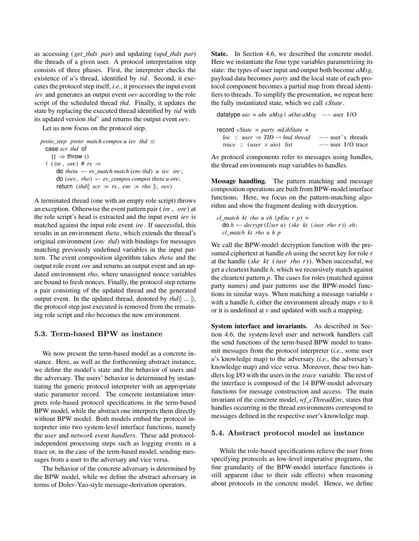as accessing (*get\_thds par*) and updating (*upd\_thds par*) the threads of a given user. A protocol interpretation step consists of three phases. First, the interpreter checks the existence of *u*'s thread, identified by *tid* . Second, it executes the protocol step itself, *i.e.*, it processes the input event *iev* and generates an output event *oev* according to the role script of the scheduled thread *thd*. Finally, it updates the state by replacing the executed thread identified by *tid* with its updated version *thd*' and returns the output event *oev*.

Let us now focus on the protocol step.

*proto\_step proto match compos u iev thd*  $\equiv$ case *scr thd* of  $[] \Rightarrow$  throw () | ( *ire* , *ore*) # *rs* ⇒ do *theta*  $\leftarrow$  *ev* match match (*env* thd) *u iev ire* ;  $do (oev, rho) \leftarrow ev\_compos compos theta u ore;$ return (*thd*( $\int$  *scr* := *rs*, *env* := *rho*  $\int$ , *oev*)

A terminated thread (one with an empty role script) throws an exception. Otherwise the event pattern pair ( *ire* , *ore*) at the role script's head is extracted and the input event *iev* is matched against the input role event *ire* . If successful, this results in an environment *theta*, which extends the thread's original environment (*env thd*) with bindings for messages matching previously undefined variables in the input pattern. The event composition algorithm takes *theta* and the output role event *ore* and returns an output event and an updated environment *rho*, where unassigned nonce variables are bound to fresh nonces. Finally, the protocol step returns a pair consisting of the updated thread and the generated output event. In the updated thread, denoted by *thd*(| ... |), the protocol step just executed is removed from the remaining role script and *rho* becomes the new environment.

# 5.3. Term-based BPW as instance

We now present the term-based model as a concrete instance. Here, as well as the forthcoming abstract instance, we define the model's state and the behavior of users and the adversary. The users' behavior is determined by instantiating the generic protocol interpreter with an appropriate static parameter record. The concrete instantiation interprets role-based protocol specifications in the term-based BPW model, while the abstract one interprets them directly without BPW model. Both models embed the protocol interpreter into two system-level interface functions, namely the *user* and *network event handlers*. These add protocolindependent processing steps such as logging events in a trace or, in the case of the term-based model, sending messages from a user to the adversary and vice versa.

The behavior of the concrete adversary is determined by the BPW model, while we define the abstract adversary in terms of Dolev-Yao-style message-derivation operators.

State. In Section 4.6, we described the concrete model. Here we instantiate the four type variables parametrizing its state: the types of user input and output both become *aMsg*, payload data becomes *party* and the local state of each protocol component becomes a partial map from thread identifiers to threads. To simplify the presentation, we repeat here the fully instantiated state, which we call *cState* .

datatype *uio* = *uIn aMsg* | *uOut aMsg* −− user I /O record *cState* = *party mLibState* + *loc* :: *user*  $\Rightarrow$  *TID*  $\rightarrow$  *hnd thread*  $-$  − user's threads  $trace$  :: (*user*  $\times$  *uio*) *list* −− user I/O trace

As protocol components refer to messages using handles, the thread environments map variables to handles.

Message handling. The pattern matching and message composition operations are built from BPW-model interface functions. Here, we focus on the pattern-matching algorithm and show the fragment dealing with decryption.

\n
$$
\text{cl}\_\text{match}\_\text{kt}\_\text{rho}\_\text{u}\_\text{eh}\_\text{(pEnc\,r\,p)} =
$$
\n

\n\n $\text{do}\_\text{h} \leftarrow \text{decrypt}(\text{User}\_\text{u})\_\text{(ske\,kt}\_\text{t}\_\text{tusr\,rho}\_\text{r})\_\text{eh};$ \n

\n\n $\text{cl}\_\text{match}\_\text{kt}\_\text{rho}\_\text{u}\_\text{h}$ \n

We call the BPW-model decryption function with the presumed ciphertext at handle *eh* using the secret key for role *r* at the handle (*ske kt* ( *iusr rho r*) ). When successful, we get a cleartext handle *h*, which we recursively match against the cleartext pattern *p*. The cases for roles (matched against party names) and pair patterns use the BPW-model functions in similar ways. When matching a message variable *v* with a handle *h*, either the environment already maps *v* to *h* or it is undefined at *v* and updated with such a mapping.

System interface and invariants. As described in Section 4.6, the system-level user and network handlers call the send functions of the term-based BPW model to transmit messages from the protocol interpreter (*i.e.*, some user *u*'s knowledge map) to the adversary (*i.e.*, the adversary's knowledge map) and vice versa. Moreover, these two handlers log I/O with the users in the *trace* variable. The rest of the interface is composed of the 14 BPW-model adversary functions for message construction and access. The main invariant of the concrete model, *wf\_cThreadEnv*, states that handles occurring in the thread environments correspond to messages defined in the respective user's knowledge map.

## 5.4. Abstract protocol model as instance

While the role-based specifications relieve the user from specifying protocols as low-level imperative programs, the fine granularity of the BPW-model interface functions is still apparent (due to their side effects) when reasoning about protocols in the concrete model. Hence, we define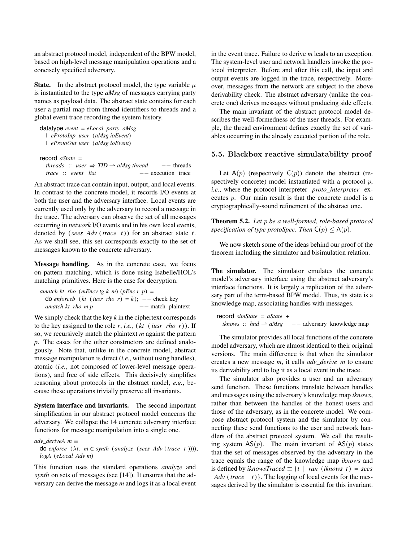an abstract protocol model, independent of the BPW model, based on high-level message manipulation operations and a concisely specified adversary.

**State.** In the abstract protocol model, the type variable  $\mu$ is instantiated to the type *aMsg* of messages carrying party names as payload data. The abstract state contains for each user a partial map from thread identifiers to threads and a global event trace recording the system history.

```
datatype event = eLocal party aMsg
  | eProtoInp user (aMsg ioEvent)
  | eProtoOut user (aMsg ioEvent)
record aState =
  threads :: user \Rightarrow TID \rightarrow aMsg thread \quad \rightarrow threads
```
*trace* :: *event list* −− execution trace

An abstract trace can contain input, output, and local events. In contrast to the concrete model, it records I/O events at both the user and the adversary interface. Local events are currently used only by the adversary to record a message in the trace. The adversary can observe the set of all messages occurring in *network* I/O events and in his own local events, denoted by (*sees Adv* (*trace t*) ) for an abstract state *t*. As we shall see, this set corresponds exactly to the set of messages known to the concrete adversary.

Message handling. As in the concrete case, we focus on pattern matching, which is done using Isabelle/HOL's matching primitives. Here is the case for decryption.

*amatch kt rho* (*mEncv tg k m*) (*pEnc r p*) = do *enforceb* (*kt* (*iusr rho r*) = *k*);  $-$  check key *amatch kt rho m p* −− match plaintext

We simply check that the key *k* in the ciphertext corresponds to the key assigned to the role *r*, *i.e.*, ( *kt* ( *iusr rho r*) ). If so, we recursively match the plaintext *m* against the pattern *p*. The cases for the other constructors are defined analogously. Note that, unlike in the concrete model, abstract message manipulation is direct (*i.e.*, without using handles), atomic (*i.e.*, not composed of lower-level message operations), and free of side effects. This decisively simplifies reasoning about protocols in the abstract model, *e.g.*, because these operations trivially preserve all invariants.

System interface and invariants. The second important simplification in our abstract protocol model concerns the adversary. We collapse the 14 concrete adversary interface functions for message manipulation into a single one.

```
adv_deriveA m \equiv
```
do *enforce*  $(\lambda t. m \in synth$  (*analyze* (*sees Adv* (*trace t* )))); *logA* (*eLocal Adv m*)

This function uses the standard operations *analyze* and *synth* on sets of messages (see [14]). It ensures that the adversary can derive the message *m* and logs it as a local event in the event trace. Failure to derive *m* leads to an exception. The system-level user and network handlers invoke the protocol interpreter. Before and after this call, the input and output events are logged in the trace, respectively. Moreover, messages from the network are subject to the above derivability check. The abstract adversary (unlike the concrete one) derives messages without producing side effects.

The main invariant of the abstract protocol model describes the well-formedness of the user threads. For example, the thread environment defines exactly the set of variables occurring in the already executed portion of the role.

## 5.5. Blackbox reactive simulatability proof

Let  $A(p)$  (respectively  $C(p)$ ) denote the abstract (respectively concrete) model instantiated with a protocol  $p$ , *i.e.*, where the protocol interpreter *proto\_interpreter* executes p. Our main result is that the concrete model is a cryptographically-sound refinement of the abstract one.

Theorem 5.2. *Let* p *be a well-formed, role-based protocol specification of type protoSpec. Then*  $C(p) \leq A(p)$ *.* 

We now sketch some of the ideas behind our proof of the theorem including the simulator and bisimulation relation.

The simulator. The simulator emulates the concrete model's adversary interface using the abstract adversary's interface functions. It is largely a replication of the adversary part of the term-based BPW model. Thus, its state is a knowledge map, associating handles with messages.

```
record simState = aState +
  iknows :: hnd \rightarrow aMsg \rightarrow \rightarrow adversary knowledge map
```
The simulator provides all local functions of the concrete model adversary, which are almost identical to their original versions. The main difference is that when the simulator creates a new message *m*, it calls *adv\_derive m* to ensure its derivability and to log it as a local event in the trace.

The simulator also provides a user and an adversary send function. These functions translate between handles and messages using the adversary's knowledge map *iknows*, rather than between the handles of the honest users and those of the adversary, as in the concrete model. We compose abstract protocol system and the simulator by connecting these send functions to the user and network handlers of the abstract protocol system. We call the resulting system  $AS(p)$ . The main invariant of  $AS(p)$  states that the set of messages observed by the adversary in the trace equals the range of the knowledge map *iknows* and is defined by *iknowsTraced* ≡ {*t* | *ran* (*iknows t*) = *sees Adv* (*trace t*)}. The logging of local events for the messages derived by the simulator is essential for this invariant.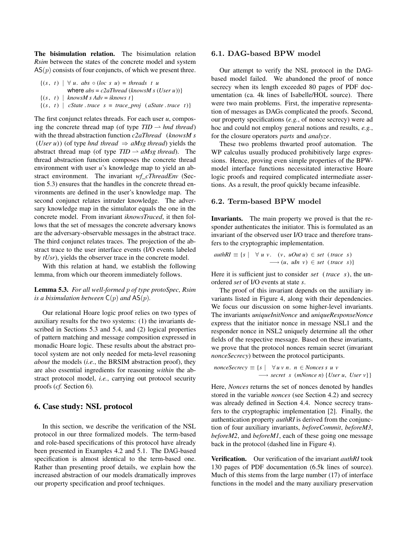The bisimulation relation. The bisimulation relation *Rsim* between the states of the concrete model and system  $AS(p)$  consists of four conjuncts, of which we present three.

- $\{(s, t) | \forall u$ . *abs*  $\circ$  (*loc s u*) = *threads t u* where *abs* = *c2aThread* (*knowsM s* (*User u*))}  $\{(s, t) | known s Adv = *iknows* t\}$
- ${(s, t) | cState trace s = trace\_proj ( aState . trace t)}$

The first conjunct relates threads. For each user *u*, composing the concrete thread map (of type  $TID \rightarrow hnd$  thread) with the thread abstraction function *c2aThread* (*knowsM s* (*User u*)) (of type *hnd thread*  $\Rightarrow aMsg$  *thread*) yields the abstract thread map (of type  $TID \rightharpoonup aMsg$  thread). The thread abstraction function composes the concrete thread environment with user *u*'s knowledge map to yield an abstract environment. The invariant *wf\_cThreadEnv* (Section 5.3) ensures that the handles in the concrete thread environments are defined in the user's knowledge map. The second conjunct relates intruder knowledge. The adversary knowledge map in the simulator equals the one in the concrete model. From invariant *iknowsTraced*, it then follows that the set of messages the concrete adversary knows are the adversary-observable messages in the abstract trace. The third conjunct relates traces. The projection of the abstract trace to the user interface events (I/O events labeled by *tUsr*), yields the observer trace in the concrete model.

With this relation at hand, we establish the following lemma, from which our theorem immediately follows.

Lemma 5.3. *For all well-formed* p *of type protoSpec, Rsim is a bisimulation between*  $C(p)$  *and*  $AS(p)$ *.* 

Our relational Hoare logic proof relies on two types of auxiliary results for the two systems: (1) the invariants described in Sections 5.3 and 5.4, and (2) logical properties of pattern matching and message composition expressed in monadic Hoare logic. These results about the abstract protocol system are not only needed for meta-level reasoning *about* the models (*i.e.*, the BRSIM abstraction proof), they are also essential ingredients for reasoning *within* the abstract protocol model, *i.e.*, carrying out protocol security proofs (*cf.* Section 6).

# 6. Case study: NSL protocol

In this section, we describe the verification of the NSL protocol in our three formalized models. The term-based and role-based specifications of this protocol have already been presented in Examples 4.2 and 5.1. The DAG-based specification is almost identical to the term-based one. Rather than presenting proof details, we explain how the increased abstraction of our models dramatically improves our property specification and proof techniques.

## 6.1. DAG-based BPW model

Our attempt to verify the NSL protocol in the DAGbased model failed. We abandoned the proof of nonce secrecy when its length exceeded 80 pages of PDF documentation (ca. 4k lines of Isabelle/HOL source). There were two main problems. First, the imperative representation of messages as DAGs complicated the proofs. Second, our property specifications (*e.g.*, of nonce secrecy) were ad hoc and could not employ general notions and results, *e.g.*, for the closure operators *parts* and *analyze*.

These two problems thwarted proof automation. The WP calculus usually produced prohibitively large expressions. Hence, proving even simple properties of the BPWmodel interface functions necessitated interactive Hoare logic proofs and required complicated intermediate assertions. As a result, the proof quickly became infeasible.

#### 6.2. Term-based BPW model

Invariants. The main property we proved is that the responder authenticates the initiator. This is formulated as an invariant of the observed user I/O trace and therefore transfers to the cryptographic implementation.

$$
authRI \equiv \{s \mid \forall u \ v. \quad (v, uOut u) \in set \ (trace \ s)
$$
  

$$
\longrightarrow (u, uh \ v) \in set \ (trace \ s)
$$

Here it is sufficient just to consider *set* (*trace s*), the unordered *set* of I/O events at state *s*.

The proof of this invariant depends on the auxiliary invariants listed in Figure 4, along with their dependencies. We focus our discussion on some higher-level invariants. The invariants *uniqueInitNonce* and *uniqueResponseNonce* express that the initiator nonce in message NSL1 and the responder nonce in NSL2 uniquely determine all the other fields of the respective message. Based on these invariants, we prove that the protocol nonces remain secret (invariant *nonceSecrecy*) between the protocol participants.

$$
nonceSecrecy \equiv \{s \mid \forall u \, v \, n. \, n \in \text{Nonces } s \, u \, v \\
 \longrightarrow secret \, s \, (m\text{None } n) \, \{User \, u, \, User \, v\}\}
$$

Here, *Nonces* returns the set of nonces denoted by handles stored in the variable *nonces* (see Section 4.2) and secrecy was already defined in Section 4.4. Nonce secrecy transfers to the cryptographic implementation [2]. Finally, the authentication property *authRI* is derived from the conjunction of four auxiliary invariants, *beforeCommit*, *beforeM3*, *beforeM2*, and *beforeM1*, each of these going one message back in the protocol (dashed line in Figure 4).

Verification. Our verification of the invariant *authRI* took 130 pages of PDF documentation (6.5k lines of source). Much of this stems from the large number (17) of interface functions in the model and the many auxiliary preservation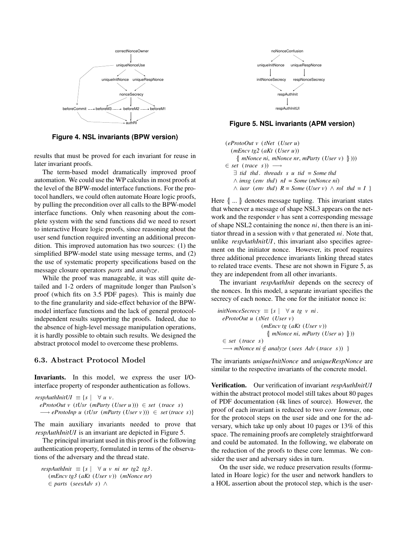

**Figure 4. NSL invariants (BPW version)**

results that must be proved for each invariant for reuse in later invariant proofs.

The term-based model dramatically improved proof automation. We could use the WP calculus in most proofs at the level of the BPW-model interface functions. For the protocol handlers, we could often automate Hoare logic proofs, by pulling the precondition over all calls to the BPW-model interface functions. Only when reasoning about the complete system with the send functions did we need to resort to interactive Hoare logic proofs, since reasoning about the user send function required inventing an additional precondition. This improved automation has two sources: (1) the simplified BPW-model state using message terms, and (2) the use of systematic property specifications based on the message closure operators *parts* and *analyze*.

While the proof was manageable, it was still quite detailed and 1-2 orders of magnitude longer than Paulson's proof (which fits on 3.5 PDF pages). This is mainly due to the fine granularity and side-effect behavior of the BPWmodel interface functions and the lack of general protocolindependent results supporting the proofs. Indeed, due to the absence of high-level message manipulation operations, it is hardly possible to obtain such results. We designed the abstract protocol model to overcome these problems.

## 6.3. Abstract Protocol Model

Invariants. In this model, we express the user I/Ointerface property of responder authentication as follows.

```
respAuthInitUI \equiv {s | \forall u v.
 eProtoOut v (tUsr (mParty (User u))) \in set (trace s)
  \longrightarrow eProtoInp u (tUsr (mParty (User v))) \in set (trace s)}
```
The main auxiliary invariants needed to prove that *respAuthInitUI* is an invariant are depicted in Figure 5.

The principal invariant used in this proof is the following authentication property, formulated in terms of the observations of the adversary and the thread state.

```
resp.HuthInit \equiv \{s \mid \forall u \vee ni \in \mathbb{R}^2 : d \geq 2 \}(mEncv tg3 (aKt (User v )) (mNonce nr)
   ∈ parts (seesAdv s) ∧
```


**Figure 5. NSL invariants (APM version)**

(*eProtoOut v* (*tNet* (*User u*) (*mEncv tg2* (*aKt* (*User u*)) {| *mNonce ni*, *mNonce nr*, *mParty* (*User v*) |} )))  $\in$  *set* (*trace s*)) ∃ *tid thd* . *threads s u tid* = *Some thd* ∧ *imsg* (*env thd*) *nI* = *Some* (*mNonce ni*)  $\land$  *iusr* (*env thd*)  $R = Some$  (*User v*)  $\land$  *rol thd* = *I* }

Here  $\{\,\ldots\,\}$  denotes message tupling. This invariant states that whenever a message of shape NSL3 appears on the network and the responder *v* has sent a corresponding message of shape NSL2 containing the nonce *ni*, then there is an initiator thread in a session with *v* that generated *ni*. Note that, unlike *respAuthInitUI*, this invariant also specifies agreement on the initiator nonce. However, its proof requires three additional precedence invariants linking thread states to related trace events. These are not shown in Figure 5, as they are independent from all other invariants.

The invariant *respAuthInit* depends on the secrecy of the nonces. In this model, a separate invariant specifies the secrecy of each nonce. The one for the initiator nonce is:

 $initNonceSecrecy \equiv \{s \mid \forall u \; tg \; v \; ni.$ *eProtoOut u* (*tNet* (*User v*) (*mEncv tg* (*aKt* (*User v* )) {| *mNonce ni*, *mParty* (*User u*) |})) ∈ *set* (*trace s*) −→ *mNonce ni* ∈/ *analyze* (*sees Adv* (*trace s*)) }

The invariants *uniqueInitNonce* and *uniqueRespNonce* are similar to the respective invariants of the concrete model.

Verification. Our verification of invariant *respAuthInitUI* within the abstract protocol model still takes about 80 pages of PDF documentation (4k lines of source). However, the proof of each invariant is reduced to two *core lemmas*, one for the protocol steps on the user side and one for the adversary, which take up only about 10 pages or 13% of this space. The remaining proofs are completely straightforward and could be automated. In the following, we elaborate on the reduction of the proofs to these core lemmas. We consider the user and adversary sides in turn.

On the user side, we reduce preservation results (formulated in Hoare logic) for the user and network handlers to a HOL assertion about the protocol step, which is the user-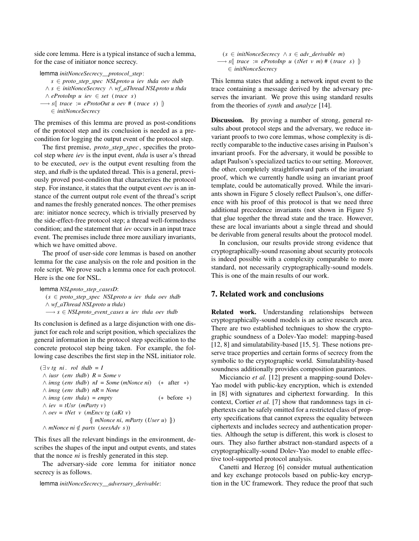side core lemma. Here is a typical instance of such a lemma, for the case of initiator nonce secrecy.

```
lemma initNonceSecrecy__protocol_step:
    s \in \text{proto\_step\_spec} NSLproto u iev thda oev thdb
  ∧ s ∈ initNonceSecrecy ∧ wf_aThread NSLproto u thda
  ∧ eProtoInp u iev ∈ set (trace s)
−→ s(| trace := eProtoOut u oev # (trace s) |)
    ∈ initNonceSecrecy
```
The premises of this lemma are proved as post-conditions of the protocol step and its conclusion is needed as a precondition for logging the output event of the protocol step.

The first premise, *proto\_step\_spec* , specifies the protocol step where *iev* is the input event, *thda* is user *u*'s thread to be executed, *oev* is the output event resulting from the step, and *thdb* is the updated thread. This is a general, previously proved post-condition that characterizes the protocol step. For instance, it states that the output event *oev* is an instance of the current output role event of the thread's script and names the freshly generated nonces. The other premises are: initiator nonce secrecy, which is trivially preserved by the side-effect-free protocol step; a thread well-formedness condition; and the statement that *iev* occurs in an input trace event. The premises include three more auxiliary invariants, which we have omitted above.

The proof of user-side core lemmas is based on another lemma for the case analysis on the role and position in the role script. We prove such a lemma once for each protocol. Here is the one for NSL.

lemma *NSLproto\_step\_casesD*: (*s* ∈ *proto\_step\_spec NSLproto u iev thda oev thdb* ∧ *wf\_aThread NSLproto u thda*) −→ *s* ∈ *NSLproto\_event\_cases u iev thda oev thdb*

Its conclusion is defined as a large disjunction with one disjunct for each role and script position, which specializes the general information in the protocol step specification to the concrete protocol step being taken. For example, the following case describes the first step in the NSL initiator role.

```
(\exists v \tg \ni ni \cdot \text{rol } thdb = I∧ iusr (env thdb) R = Some v
∧ imsg (env thdb) nI = Some (mNonce ni) (∗ after ∗)
∧ imsg (env thdb) nR = None
\land imsg (env thda) = empty (* before *)
\wedge iev = tUsr (mParty v)
\wedge oev = tNet v (mEncv tg (aKt v)
                   {| mNonce ni, mParty (User u) |})
∧ mNonce ni ∈/ parts (seesAdv s))
```
This fixes all the relevant bindings in the environment, describes the shapes of the input and output events, and states that the nonce *ni* is freshly generated in this step.

The adversary-side core lemma for initiator nonce secrecy is as follows.

```
lemma initNonceSecrecy__adversary_derivable:
```
(*s* ∈ *initNonceSecrecy* ∧ *s* ∈ *adv\_derivable m*)  $\longrightarrow s$ (| *trace* := *eProtoInp u* (*tNet v m*) # (*trace s*) |) ∈ *initNonceSecrecy*

This lemma states that adding a network input event to the trace containing a message derived by the adversary preserves the invariant. We prove this using standard results from the theories of *synth* and *analyze* [14].

Discussion. By proving a number of strong, general results about protocol steps and the adversary, we reduce invariant proofs to two core lemmas, whose complexity is directly comparable to the inductive cases arising in Paulson's invariant proofs. For the adversary, it would be possible to adapt Paulson's specialized tactics to our setting. Moreover, the other, completely straightforward parts of the invariant proof, which we currently handle using an invariant proof template, could be automatically proved. While the invariants shown in Figure 5 closely reflect Paulson's, one difference with his proof of this protocol is that we need three additional precedence invariants (not shown in Figure 5) that glue together the thread state and the trace. However, these are local invariants about a single thread and should be derivable from general results about the protocol model.

In conclusion, our results provide strong evidence that cryptographically-sound reasoning about security protocols is indeed possible with a complexity comparable to more standard, not necessarily cryptographically-sound models. This is one of the main results of our work.

# 7. Related work and conclusions

Related work. Understanding relationships between cryptographically-sound models is an active research area. There are two established techniques to show the cryptographic soundness of a Dolev-Yao model: mapping-based [12, 8] and simulatability-based [15, 5]. These notions preserve trace properties and certain forms of secrecy from the symbolic to the cryptographic world. Simulatability-based soundness additionally provides composition guarantees.

Micciancio *et al.* [12] present a mapping-sound Dolev-Yao model with public-key encryption, which is extended in [8] with signatures and ciphertext forwarding. In this context, Cortier *et al.* [7] show that randomness tags in ciphertexts can be safely omitted for a restricted class of property specifications that cannot express the equality between ciphertexts and includes secrecy and authentication properties. Although the setup is different, this work is closest to ours. They also further abstract non-standard aspects of a cryptographically-sound Dolev-Yao model to enable effective tool-supported protocol analysis.

Canetti and Herzog [6] consider mutual authentication and key exchange protocols based on public-key encryption in the UC framework. They reduce the proof that such